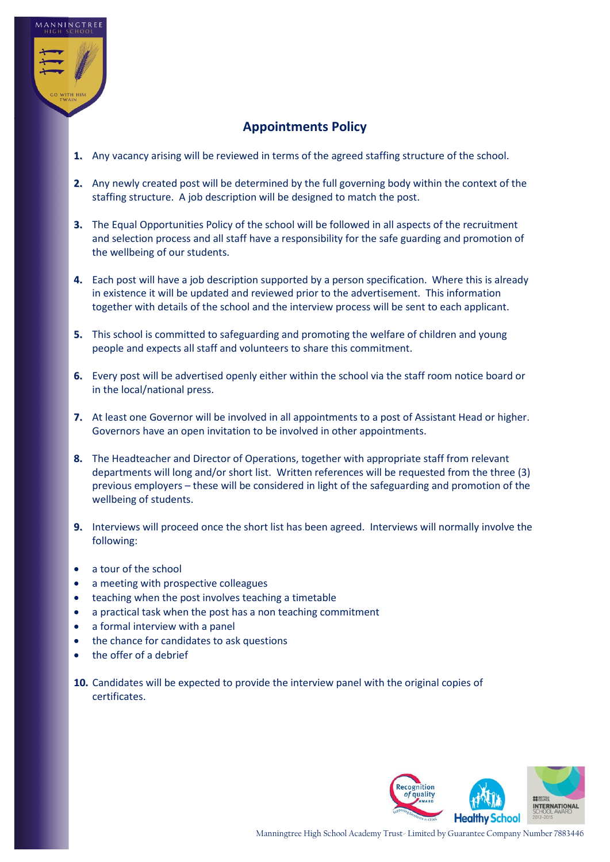

## **Appointments Policy**

- **1.** Any vacancy arising will be reviewed in terms of the agreed staffing structure of the school.
- **2.** Any newly created post will be determined by the full governing body within the context of the staffing structure. A job description will be designed to match the post.
- **3.** The Equal Opportunities Policy of the school will be followed in all aspects of the recruitment and selection process and all staff have a responsibility for the safe guarding and promotion of the wellbeing of our students.
- **4.** Each post will have a job description supported by a person specification. Where this is already in existence it will be updated and reviewed prior to the advertisement. This information together with details of the school and the interview process will be sent to each applicant.
- **5.** This school is committed to safeguarding and promoting the welfare of children and young people and expects all staff and volunteers to share this commitment.
- **6.** Every post will be advertised openly either within the school via the staff room notice board or in the local/national press.
- **7.** At least one Governor will be involved in all appointments to a post of Assistant Head or higher. Governors have an open invitation to be involved in other appointments.
- **8.** The Headteacher and Director of Operations, together with appropriate staff from relevant departments will long and/or short list. Written references will be requested from the three (3) previous employers – these will be considered in light of the safeguarding and promotion of the wellbeing of students.
- **9.** Interviews will proceed once the short list has been agreed. Interviews will normally involve the following:
- a tour of the school
- a meeting with prospective colleagues
- teaching when the post involves teaching a timetable
- a practical task when the post has a non teaching commitment
- a formal interview with a panel
- the chance for candidates to ask questions
- the offer of a debrief
- **10.** Candidates will be expected to provide the interview panel with the original copies of certificates.